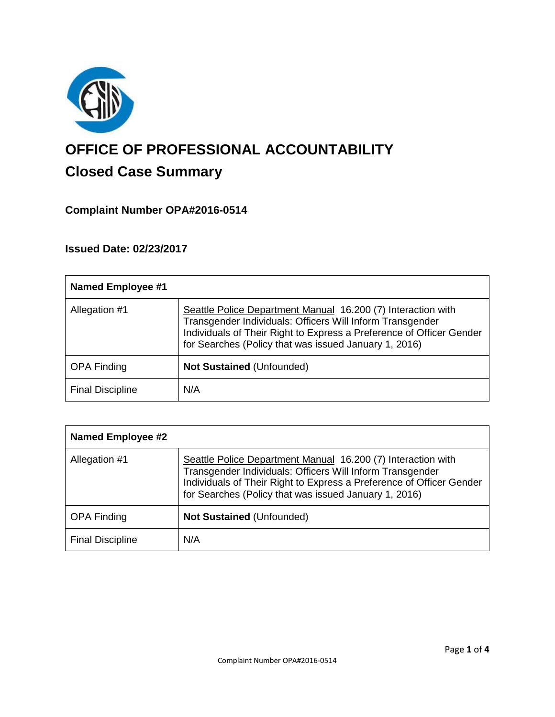

# **OFFICE OF PROFESSIONAL ACCOUNTABILITY Closed Case Summary**

# **Complaint Number OPA#2016-0514**

# **Issued Date: 02/23/2017**

| <b>Named Employee #1</b> |                                                                                                                                                                                                                                                            |
|--------------------------|------------------------------------------------------------------------------------------------------------------------------------------------------------------------------------------------------------------------------------------------------------|
| Allegation #1            | Seattle Police Department Manual 16.200 (7) Interaction with<br>Transgender Individuals: Officers Will Inform Transgender<br>Individuals of Their Right to Express a Preference of Officer Gender<br>for Searches (Policy that was issued January 1, 2016) |
| <b>OPA Finding</b>       | <b>Not Sustained (Unfounded)</b>                                                                                                                                                                                                                           |
| <b>Final Discipline</b>  | N/A                                                                                                                                                                                                                                                        |

| <b>Named Employee #2</b> |                                                                                                                                                                                                                                                            |
|--------------------------|------------------------------------------------------------------------------------------------------------------------------------------------------------------------------------------------------------------------------------------------------------|
| Allegation #1            | Seattle Police Department Manual 16.200 (7) Interaction with<br>Transgender Individuals: Officers Will Inform Transgender<br>Individuals of Their Right to Express a Preference of Officer Gender<br>for Searches (Policy that was issued January 1, 2016) |
| <b>OPA Finding</b>       | Not Sustained (Unfounded)                                                                                                                                                                                                                                  |
| <b>Final Discipline</b>  | N/A                                                                                                                                                                                                                                                        |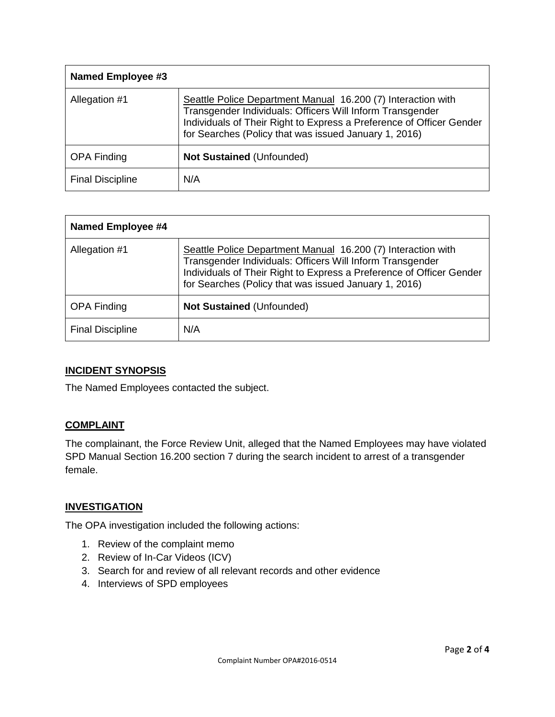| Named Employee #3       |                                                                                                                                                                                                                                                            |
|-------------------------|------------------------------------------------------------------------------------------------------------------------------------------------------------------------------------------------------------------------------------------------------------|
| Allegation #1           | Seattle Police Department Manual 16.200 (7) Interaction with<br>Transgender Individuals: Officers Will Inform Transgender<br>Individuals of Their Right to Express a Preference of Officer Gender<br>for Searches (Policy that was issued January 1, 2016) |
| <b>OPA Finding</b>      | <b>Not Sustained (Unfounded)</b>                                                                                                                                                                                                                           |
| <b>Final Discipline</b> | N/A                                                                                                                                                                                                                                                        |

| <b>Named Employee #4</b> |                                                                                                                                                                                                                                                            |
|--------------------------|------------------------------------------------------------------------------------------------------------------------------------------------------------------------------------------------------------------------------------------------------------|
| Allegation #1            | Seattle Police Department Manual 16.200 (7) Interaction with<br>Transgender Individuals: Officers Will Inform Transgender<br>Individuals of Their Right to Express a Preference of Officer Gender<br>for Searches (Policy that was issued January 1, 2016) |
| <b>OPA Finding</b>       | <b>Not Sustained (Unfounded)</b>                                                                                                                                                                                                                           |
| <b>Final Discipline</b>  | N/A                                                                                                                                                                                                                                                        |

## **INCIDENT SYNOPSIS**

The Named Employees contacted the subject.

#### **COMPLAINT**

The complainant, the Force Review Unit, alleged that the Named Employees may have violated SPD Manual Section 16.200 section 7 during the search incident to arrest of a transgender female.

#### **INVESTIGATION**

The OPA investigation included the following actions:

- 1. Review of the complaint memo
- 2. Review of In-Car Videos (ICV)
- 3. Search for and review of all relevant records and other evidence
- 4. Interviews of SPD employees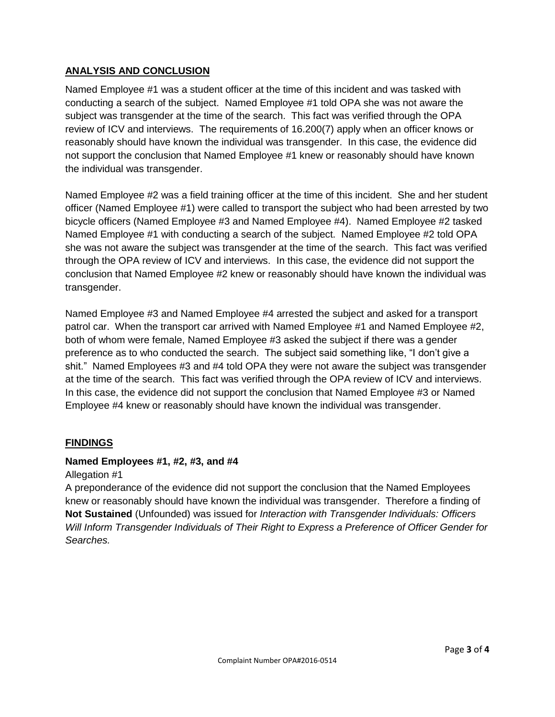### **ANALYSIS AND CONCLUSION**

Named Employee #1 was a student officer at the time of this incident and was tasked with conducting a search of the subject. Named Employee #1 told OPA she was not aware the subject was transgender at the time of the search. This fact was verified through the OPA review of ICV and interviews. The requirements of 16.200(7) apply when an officer knows or reasonably should have known the individual was transgender. In this case, the evidence did not support the conclusion that Named Employee #1 knew or reasonably should have known the individual was transgender.

Named Employee #2 was a field training officer at the time of this incident. She and her student officer (Named Employee #1) were called to transport the subject who had been arrested by two bicycle officers (Named Employee #3 and Named Employee #4). Named Employee #2 tasked Named Employee #1 with conducting a search of the subject. Named Employee #2 told OPA she was not aware the subject was transgender at the time of the search. This fact was verified through the OPA review of ICV and interviews. In this case, the evidence did not support the conclusion that Named Employee #2 knew or reasonably should have known the individual was transgender.

Named Employee #3 and Named Employee #4 arrested the subject and asked for a transport patrol car. When the transport car arrived with Named Employee #1 and Named Employee #2, both of whom were female, Named Employee #3 asked the subject if there was a gender preference as to who conducted the search. The subject said something like, "I don't give a shit." Named Employees #3 and #4 told OPA they were not aware the subject was transgender at the time of the search. This fact was verified through the OPA review of ICV and interviews. In this case, the evidence did not support the conclusion that Named Employee #3 or Named Employee #4 knew or reasonably should have known the individual was transgender.

## **FINDINGS**

#### **Named Employees #1, #2, #3, and #4**

Allegation #1

A preponderance of the evidence did not support the conclusion that the Named Employees knew or reasonably should have known the individual was transgender. Therefore a finding of **Not Sustained** (Unfounded) was issued for *Interaction with Transgender Individuals: Officers Will Inform Transgender Individuals of Their Right to Express a Preference of Officer Gender for Searches.*